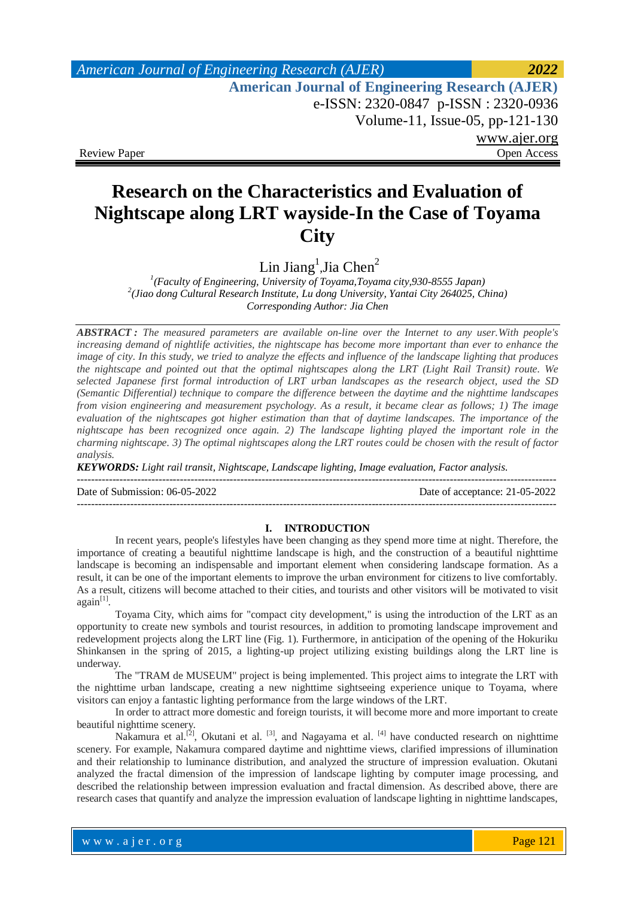# *American Journal of Engineering Research (AJER) 2022*  **American Journal of Engineering Research (AJER)** e-ISSN: 2320-0847 p-ISSN : 2320-0936 Volume-11, Issue-05, pp-121-130 www.ajer.org Review Paper **Open Access** Open Access **Open Access**

# **Research on the Characteristics and Evaluation of Nightscape along LRT wayside-In the Case of Toyama City**

 $\rm Lin~Jiang^1, Jia~Chen^2$ 

*Corresponding Author: Jia Chen 1 (Faculty of Engineering, University of Toyama,Toyama city,930-8555 Japan) 2 (Jiao dong Cultural Research Institute, Lu dong University, Yantai City 264025, China)*

*ABSTRACT : The measured parameters are available on-line over the Internet to any user.With people's increasing demand of nightlife activities, the nightscape has become more important than ever to enhance the image of city. In this study, we tried to analyze the effects and influence of the landscape lighting that produces the nightscape and pointed out that the optimal nightscapes along the LRT (Light Rail Transit) route. We selected Japanese first formal introduction of LRT urban landscapes as the research object, used the SD (Semantic Differential) technique to compare the difference between the daytime and the nighttime landscapes from vision engineering and measurement psychology. As a result, it became clear as follows; 1) The image evaluation of the nightscapes got higher estimation than that of daytime landscapes. The importance of the nightscape has been recognized once again. 2) The landscape lighting played the important role in the charming nightscape. 3) The optimal nightscapes along the LRT routes could be chosen with the result of factor analysis.*

*KEYWORDS: Light rail transit, Nightscape, Landscape lighting, Image evaluation, Factor analysis.*

Date of Submission: 06-05-2022 Date of acceptance: 21-05-2022

---------------------------------------------------------------------------------------------------------------------------------------

## ---------------------------------------------------------------------------------------------------------------------------------------

### **I. INTRODUCTION**

In recent years, people's lifestyles have been changing as they spend more time at night. Therefore, the importance of creating a beautiful nighttime landscape is high, and the construction of a beautiful nighttime landscape is becoming an indispensable and important element when considering landscape formation. As a result, it can be one of the important elements to improve the urban environment for citizens to live comfortably. As a result, citizens will become attached to their cities, and tourists and other visitors will be motivated to visit  $again^{[1]}$ .

Toyama City, which aims for "compact city development," is using the introduction of the LRT as an opportunity to create new symbols and tourist resources, in addition to promoting landscape improvement and redevelopment projects along the LRT line (Fig. 1). Furthermore, in anticipation of the opening of the Hokuriku Shinkansen in the spring of 2015, a lighting-up project utilizing existing buildings along the LRT line is underway.

The "TRAM de MUSEUM" project is being implemented. This project aims to integrate the LRT with the nighttime urban landscape, creating a new nighttime sightseeing experience unique to Toyama, where visitors can enjoy a fantastic lighting performance from the large windows of the LRT.

In order to attract more domestic and foreign tourists, it will become more and more important to create beautiful nighttime scenery.

Nakamura et al.<sup>[2]</sup>, Okutani et al.<sup>[3]</sup>, and Nagayama et al.<sup>[4]</sup> have conducted research on nighttime scenery. For example, Nakamura compared daytime and nighttime views, clarified impressions of illumination and their relationship to luminance distribution, and analyzed the structure of impression evaluation. Okutani analyzed the fractal dimension of the impression of landscape lighting by computer image processing, and described the relationship between impression evaluation and fractal dimension. As described above, there are research cases that quantify and analyze the impression evaluation of landscape lighting in nighttime landscapes,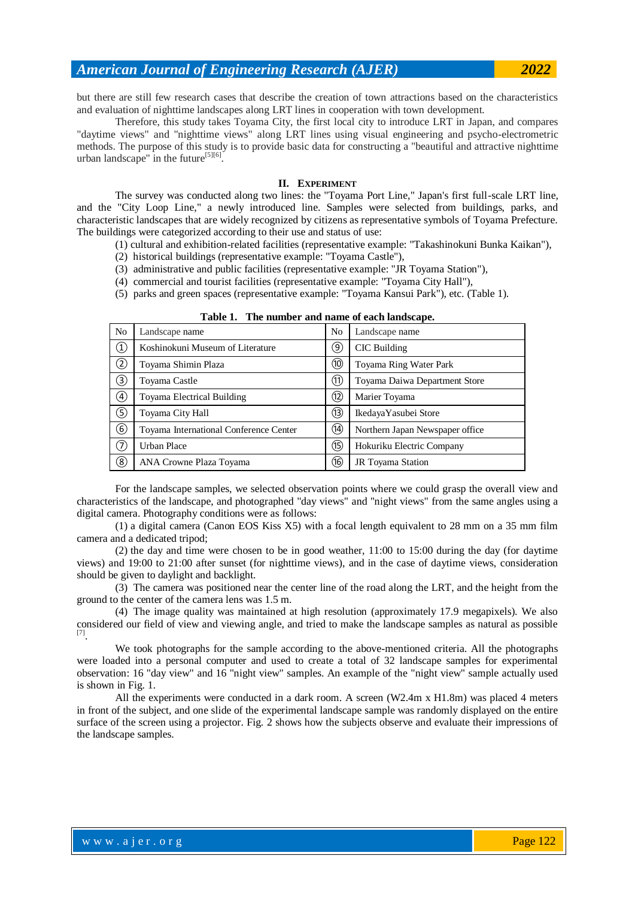but there are still few research cases that describe the creation of town attractions based on the characteristics and evaluation of nighttime landscapes along LRT lines in cooperation with town development.

Therefore, this study takes Toyama City, the first local city to introduce LRT in Japan, and compares "daytime views" and "nighttime views" along LRT lines using visual engineering and psycho-electrometric methods. The purpose of this study is to provide basic data for constructing a "beautiful and attractive nighttime urban landscape" in the future<sup>[5][6]</sup>.

#### **II. EXPERIMENT**

The survey was conducted along two lines: the "Toyama Port Line," Japan's first full-scale LRT line, and the "City Loop Line," a newly introduced line. Samples were selected from buildings, parks, and characteristic landscapes that are widely recognized by citizens as representative symbols of Toyama Prefecture. The buildings were categorized according to their use and status of use:

(1) cultural and exhibition-related facilities (representative example: "Takashinokuni Bunka Kaikan"),

(2) historical buildings (representative example: "Toyama Castle"),

(3) administrative and public facilities (representative example: "JR Toyama Station"),

(4) commercial and tourist facilities (representative example: "Toyama City Hall"), (5) parks and green spaces (representative example: "Toyama Kansui Park"), etc. (Table 1).

|                | <b>Table 1. The number and hame of each landscape.</b> |      |                                 |  |  |  |  |  |
|----------------|--------------------------------------------------------|------|---------------------------------|--|--|--|--|--|
| N <sub>o</sub> | Landscape name                                         | No   | Landscape name                  |  |  |  |  |  |
| $^\copyright$  | Koshinokuni Museum of Literature                       | 9)   | CIC Building                    |  |  |  |  |  |
| ②              | Toyama Shimin Plaza                                    | (10) | Toyama Ring Water Park          |  |  |  |  |  |
| ③              | Toyama Castle                                          | (11) | Toyama Daiwa Department Store   |  |  |  |  |  |
| $^{\circledR}$ | Toyama Electrical Building                             | (12) | Marier Toyama                   |  |  |  |  |  |
| G)             | Toyama City Hall                                       | (13) | IkedayaYasubei Store            |  |  |  |  |  |
| $^\circledR$   | Toyama International Conference Center                 | (14) | Northern Japan Newspaper office |  |  |  |  |  |
| ⑦              | Urban Place                                            | (15) | Hokuriku Electric Company       |  |  |  |  |  |
| ⑧              | ANA Crowne Plaza Toyama                                | (16) | JR Toyama Station               |  |  |  |  |  |

**Table 1. The number and name of each landscape.**

For the landscape samples, we selected observation points where we could grasp the overall view and characteristics of the landscape, and photographed "day views" and "night views" from the same angles using a digital camera. Photography conditions were as follows:

(1) a digital camera (Canon EOS Kiss X5) with a focal length equivalent to 28 mm on a 35 mm film camera and a dedicated tripod;

(2) the day and time were chosen to be in good weather, 11:00 to 15:00 during the day (for daytime views) and 19:00 to 21:00 after sunset (for nighttime views), and in the case of daytime views, consideration should be given to daylight and backlight.

(3) The camera was positioned near the center line of the road along the LRT, and the height from the ground to the center of the camera lens was 1.5 m.

(4) The image quality was maintained at high resolution (approximately 17.9 megapixels). We also considered our field of view and viewing angle, and tried to make the landscape samples as natural as possible [7] .

We took photographs for the sample according to the above-mentioned criteria. All the photographs were loaded into a personal computer and used to create a total of 32 landscape samples for experimental observation: 16 "day view" and 16 "night view" samples. An example of the "night view" sample actually used is shown in Fig. 1.

All the experiments were conducted in a dark room. A screen (W2.4m x H1.8m) was placed 4 meters in front of the subject, and one slide of the experimental landscape sample was randomly displayed on the entire surface of the screen using a projector. Fig. 2 shows how the subjects observe and evaluate their impressions of the landscape samples.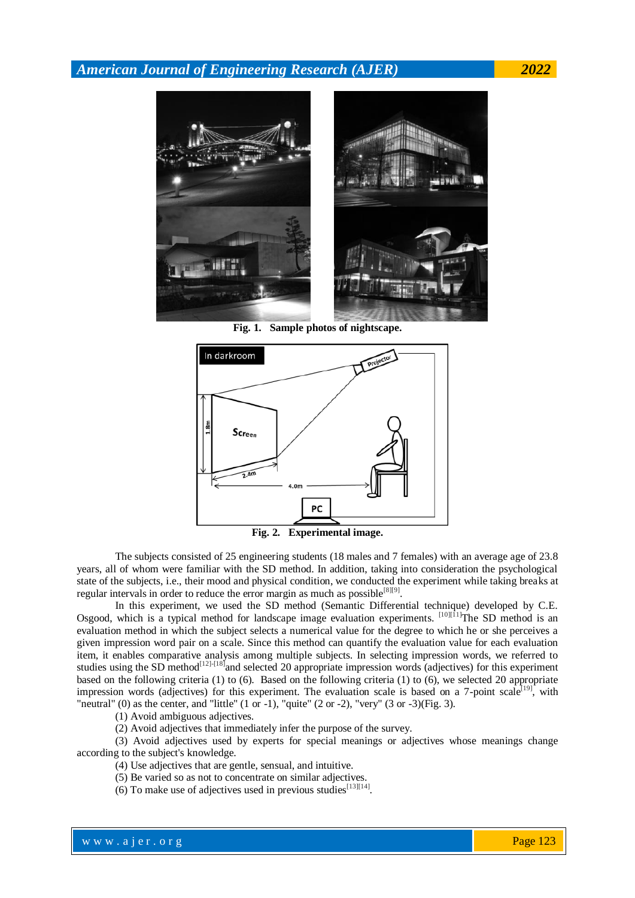

**Fig. 1. Sample photos of nightscape.**



**Fig. 2. Experimental image.**

The subjects consisted of 25 engineering students (18 males and 7 females) with an average age of 23.8 years, all of whom were familiar with the SD method. In addition, taking into consideration the psychological state of the subjects, i.e., their mood and physical condition, we conducted the experiment while taking breaks at regular intervals in order to reduce the error margin as much as possible  $[8][9]$ .

In this experiment, we used the SD method (Semantic Differential technique) developed by C.E. Osgood, which is a typical method for landscape image evaluation experiments. [10][11]The SD method is an evaluation method in which the subject selects a numerical value for the degree to which he or she perceives a given impression word pair on a scale. Since this method can quantify the evaluation value for each evaluation item, it enables comparative analysis among multiple subjects. In selecting impression words, we referred to studies using the SD method<sup>[12]-[18]</sup> and selected 20 appropriate impression words (adjectives) for this experiment based on the following criteria (1) to (6). Based on the following criteria (1) to (6), we selected 20 appropriate impression words (adjectives) for this experiment. The evaluation scale is based on a 7-point scale<sup>[19]</sup>, with "neutral" (0) as the center, and "little"  $(1 \text{ or } -1)$ , "quite"  $(2 \text{ or } -2)$ , "very"  $(3 \text{ or } -3)$ (Fig. 3).

(1) Avoid ambiguous adjectives.

(2) Avoid adjectives that immediately infer the purpose of the survey.

(3) Avoid adjectives used by experts for special meanings or adjectives whose meanings change according to the subject's knowledge.

(4) Use adjectives that are gentle, sensual, and intuitive.

(5) Be varied so as not to concentrate on similar adjectives.

(6) To make use of adjectives used in previous studies  $[13][14]$ .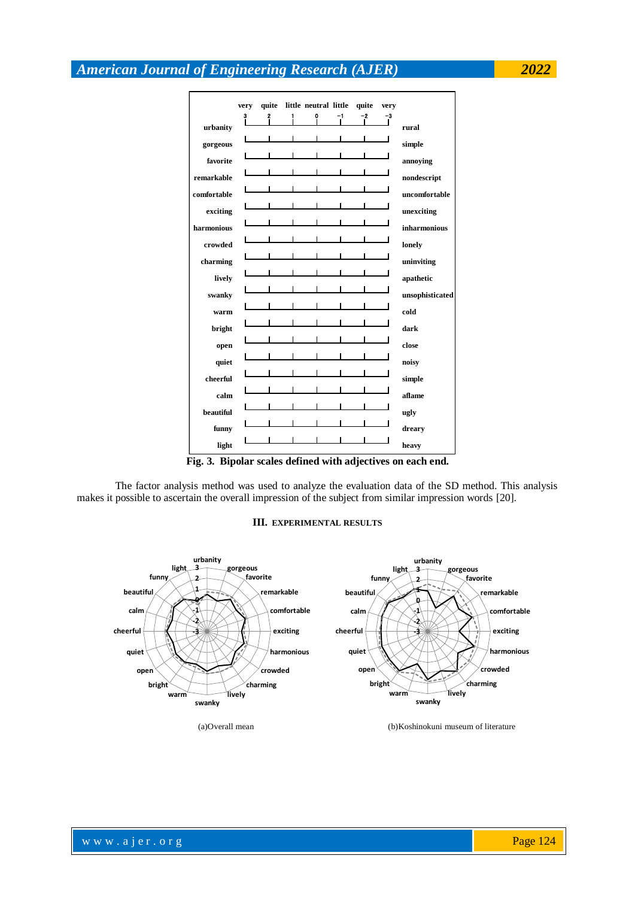0 **very** 3 **quite** 2 **little** 1 **urbanity gorgeous favorite remarkable harmonious open crowded charming comfortable exciting lively swanky warm bright funny quiet cheerful calm beautiful aflame ugly dreary close noisy simple** |<br>|<br>|-<br>|**quite** <u>- 2</u><br>- 2<br>- 2 **very**  $\frac{1}{2}$ <br> $\frac{-3}{4}$ **neutral little dark rural simple annoying nondescript uncomfortable unsophisticated cold unexciting inharmonious lonely uninviting apathetic**

**Fig. 3. Bipolar scales defined with adjectives on each end.**

**heavy**

The factor analysis method was used to analyze the evaluation data of the SD method. This analysis makes it possible to ascertain the overall impression of the subject from similar impression words [20].

#### **III. EXPERIMENTAL RESULTS**



**light**

(a)Overall mean (b)Koshinokuni museum of literature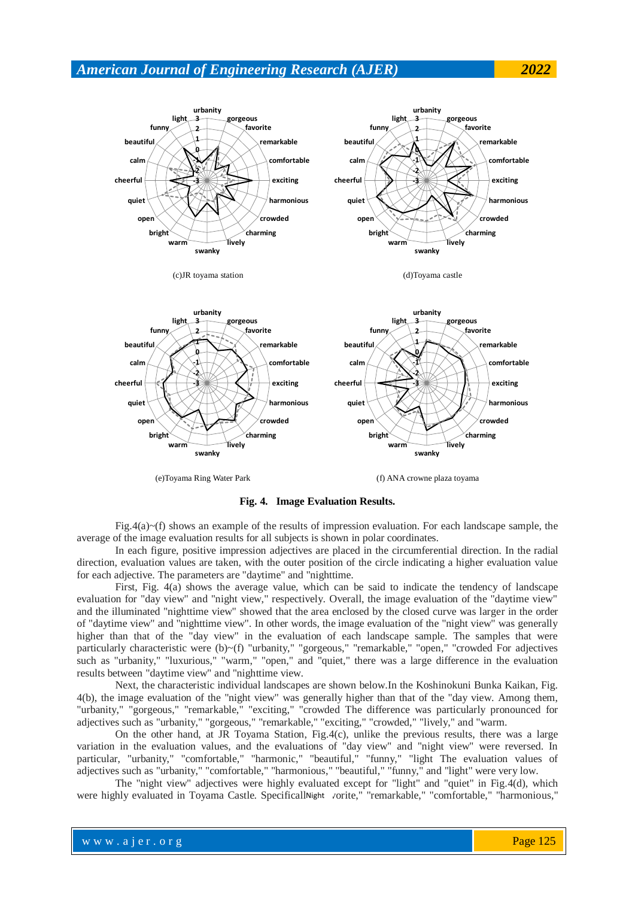



(e)Toyama Ring Water Park (f) ANA crowne plaza toyama

**Fig. 4. Image Evaluation Results.**

Fig.4(a) $\sim$ (f) shows an example of the results of impression evaluation. For each landscape sample, the average of the image evaluation results for all subjects is shown in polar coordinates.

In each figure, positive impression adjectives are placed in the circumferential direction. In the radial direction, evaluation values are taken, with the outer position of the circle indicating a higher evaluation value for each adjective. The parameters are "daytime" and "nighttime.

First, Fig. 4(a) shows the average value, which can be said to indicate the tendency of landscape evaluation for "day view" and "night view," respectively. Overall, the image evaluation of the "daytime view" and the illuminated "nighttime view" showed that the area enclosed by the closed curve was larger in the order of "daytime view" and "nighttime view". In other words, the image evaluation of the "night view" was generally higher than that of the "day view" in the evaluation of each landscape sample. The samples that were particularly characteristic were (b)~(f) "urbanity," "gorgeous," "remarkable," "open," "crowded For adjectives such as "urbanity," "luxurious," "warm," "open," and "quiet," there was a large difference in the evaluation results between "daytime view" and "nighttime view.

Next, the characteristic individual landscapes are shown below.In the Koshinokuni Bunka Kaikan, Fig. 4(b), the image evaluation of the "night view" was generally higher than that of the "day view. Among them, "urbanity," "gorgeous," "remarkable," "exciting," "crowded The difference was particularly pronounced for adjectives such as "urbanity," "gorgeous," "remarkable," "exciting," "crowded," "lively," and "warm.

On the other hand, at JR Toyama Station, Fig.4(c), unlike the previous results, there was a large variation in the evaluation values, and the evaluations of "day view" and "night view" were reversed. In particular, "urbanity," "comfortable," "harmonic," "beautiful," "funny," "light The evaluation values of adjectives such as "urbanity," "comfortable," "harmonious," "beautiful," "funny," and "light" were very low.

The "night view" adjectives were highly evaluated except for "light" and "quiet" in Fig.4(d), which were highly evaluated in Toyama Castle. SpecificallNight vorite," "remarkable," "comfortable," "harmonious,"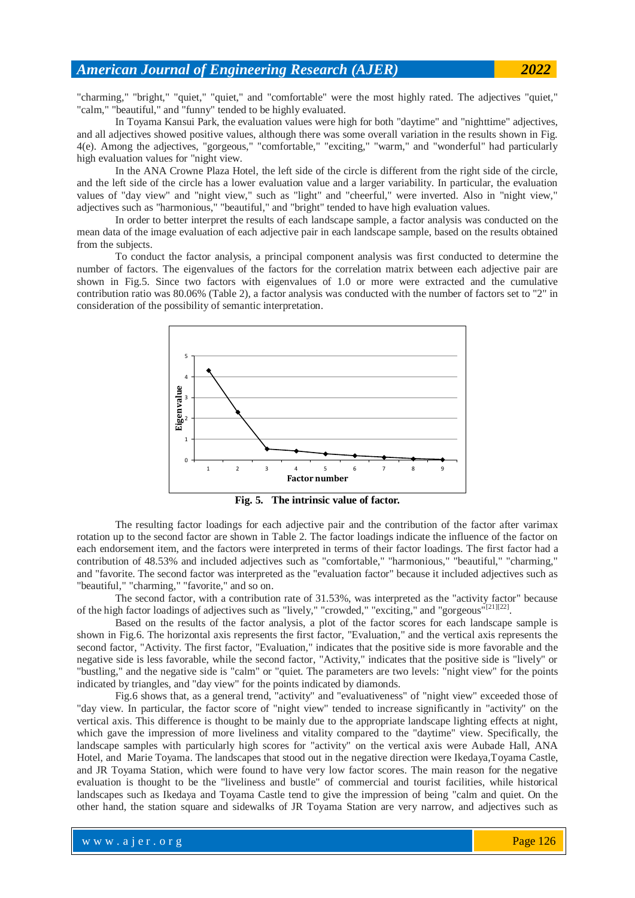"charming," "bright," "quiet," "quiet," and "comfortable" were the most highly rated. The adjectives "quiet," "calm," "beautiful," and "funny" tended to be highly evaluated.

In Toyama Kansui Park, the evaluation values were high for both "daytime" and "nighttime" adjectives, and all adjectives showed positive values, although there was some overall variation in the results shown in Fig. 4(e). Among the adjectives, "gorgeous," "comfortable," "exciting," "warm," and "wonderful" had particularly high evaluation values for "night view.

In the ANA Crowne Plaza Hotel, the left side of the circle is different from the right side of the circle, and the left side of the circle has a lower evaluation value and a larger variability. In particular, the evaluation values of "day view" and "night view," such as "light" and "cheerful," were inverted. Also in "night view," adjectives such as "harmonious," "beautiful," and "bright" tended to have high evaluation values.

In order to better interpret the results of each landscape sample, a factor analysis was conducted on the mean data of the image evaluation of each adjective pair in each landscape sample, based on the results obtained from the subjects.

To conduct the factor analysis, a principal component analysis was first conducted to determine the number of factors. The eigenvalues of the factors for the correlation matrix between each adjective pair are shown in Fig.5. Since two factors with eigenvalues of 1.0 or more were extracted and the cumulative contribution ratio was 80.06% (Table 2), a factor analysis was conducted with the number of factors set to "2" in consideration of the possibility of semantic interpretation.



**Fig. 5. The intrinsic value of factor.**

The resulting factor loadings for each adjective pair and the contribution of the factor after varimax rotation up to the second factor are shown in Table 2. The factor loadings indicate the influence of the factor on each endorsement item, and the factors were interpreted in terms of their factor loadings. The first factor had a contribution of 48.53% and included adjectives such as "comfortable," "harmonious," "beautiful," "charming," and "favorite. The second factor was interpreted as the "evaluation factor" because it included adjectives such as "beautiful," "charming," "favorite," and so on.

The second factor, with a contribution rate of 31.53%, was interpreted as the "activity factor" because of the high factor loadings of adjectives such as "lively," "crowded," "exciting," and "gorgeous"<sup>[21][22]</sup>.

Based on the results of the factor analysis, a plot of the factor scores for each landscape sample is shown in Fig.6. The horizontal axis represents the first factor, "Evaluation," and the vertical axis represents the second factor, "Activity. The first factor, "Evaluation," indicates that the positive side is more favorable and the negative side is less favorable, while the second factor, "Activity," indicates that the positive side is "lively" or "bustling," and the negative side is "calm" or "quiet. The parameters are two levels: "night view" for the points indicated by triangles, and "day view" for the points indicated by diamonds.

Fig.6 shows that, as a general trend, "activity" and "evaluativeness" of "night view" exceeded those of "day view. In particular, the factor score of "night view" tended to increase significantly in "activity" on the vertical axis. This difference is thought to be mainly due to the appropriate landscape lighting effects at night, which gave the impression of more liveliness and vitality compared to the "daytime" view. Specifically, the landscape samples with particularly high scores for "activity" on the vertical axis were Aubade Hall, ANA Hotel, and Marie Toyama. The landscapes that stood out in the negative direction were Ikedaya,Toyama Castle, and JR Toyama Station, which were found to have very low factor scores. The main reason for the negative evaluation is thought to be the "liveliness and bustle" of commercial and tourist facilities, while historical landscapes such as Ikedaya and Toyama Castle tend to give the impression of being "calm and quiet. On the other hand, the station square and sidewalks of JR Toyama Station are very narrow, and adjectives such as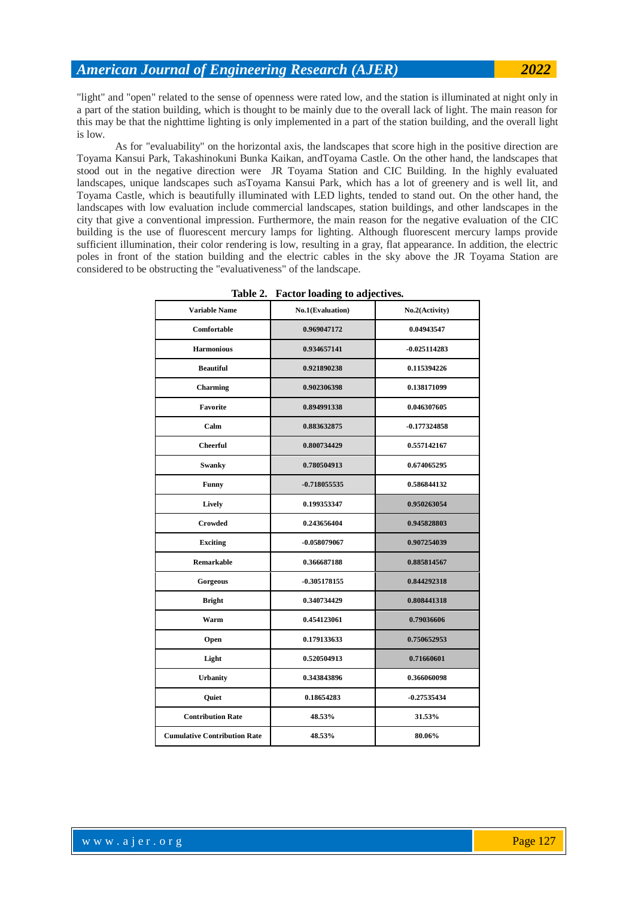"light" and "open" related to the sense of openness were rated low, and the station is illuminated at night only in a part of the station building, which is thought to be mainly due to the overall lack of light. The main reason for this may be that the nighttime lighting is only implemented in a part of the station building, and the overall light is low.

As for "evaluability" on the horizontal axis, the landscapes that score high in the positive direction are Toyama Kansui Park, Takashinokuni Bunka Kaikan, andToyama Castle. On the other hand, the landscapes that stood out in the negative direction were JR Toyama Station and CIC Building. In the highly evaluated landscapes, unique landscapes such asToyama Kansui Park, which has a lot of greenery and is well lit, and Toyama Castle, which is beautifully illuminated with LED lights, tended to stand out. On the other hand, the landscapes with low evaluation include commercial landscapes, station buildings, and other landscapes in the city that give a conventional impression. Furthermore, the main reason for the negative evaluation of the CIC building is the use of fluorescent mercury lamps for lighting. Although fluorescent mercury lamps provide sufficient illumination, their color rendering is low, resulting in a gray, flat appearance. In addition, the electric poles in front of the station building and the electric cables in the sky above the JR Toyama Station are considered to be obstructing the "evaluativeness" of the landscape.

| <b>Variable Name</b>                | No.1(Evaluation) | No.2(Activity) |  |
|-------------------------------------|------------------|----------------|--|
| Comfortable                         | 0.969047172      | 0.04943547     |  |
| <b>Harmonious</b>                   | 0.934657141      | $-0.025114283$ |  |
| <b>Beautiful</b>                    | 0.921890238      | 0.115394226    |  |
| Charming                            | 0.902306398      | 0.138171099    |  |
| Favorite                            | 0.894991338      | 0.046307605    |  |
| Calm                                | 0.883632875      | $-0.177324858$ |  |
| <b>Cheerful</b>                     | 0.800734429      | 0.557142167    |  |
| Swanky                              | 0.780504913      | 0.674065295    |  |
| <b>Funny</b>                        | $-0.718055535$   | 0.586844132    |  |
| Lively                              | 0.199353347      | 0.950263054    |  |
| Crowded                             | 0.243656404      | 0.945828803    |  |
| <b>Exciting</b>                     | $-0.058079067$   | 0.907254039    |  |
| <b>Remarkable</b>                   | 0.366687188      | 0.885814567    |  |
| Gorgeous                            | $-0.305178155$   | 0.844292318    |  |
| <b>Bright</b>                       | 0.340734429      | 0.808441318    |  |
| Warm                                | 0.454123061      | 0.79036606     |  |
| Open                                | 0.179133633      | 0.750652953    |  |
| Light                               | 0.520504913      | 0.71660601     |  |
| <b>Urbanity</b>                     | 0.343843896      | 0.366060098    |  |
| Quiet                               | 0.18654283       | $-0.27535434$  |  |
| <b>Contribution Rate</b>            | 48.53%           | 31.53%         |  |
| <b>Cumulative Contribution Rate</b> | 48.53%           | 80.06%         |  |

|  |  |  |  | Table 2. Factor loading to adjectives. |
|--|--|--|--|----------------------------------------|
|--|--|--|--|----------------------------------------|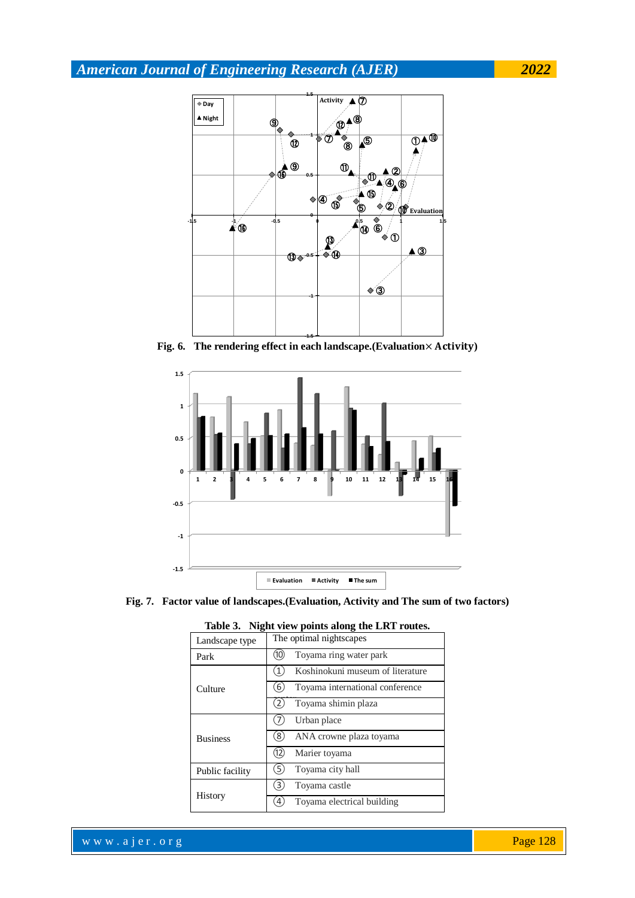

Fig. 6. The rendering effect in each landscape.(Evaluation× Activity)



**Fig. 7. Factor value of landscapes.(Evaluation, Activity and The sum of two factors)**

| Landscape type  | The optimal nightscapes              |  |  |  |  |
|-----------------|--------------------------------------|--|--|--|--|
| Park            | Toyama ring water park<br>(10        |  |  |  |  |
|                 | Koshinokuni museum of literature     |  |  |  |  |
| Culture         | Toyama international conference<br>6 |  |  |  |  |
|                 | Toyama shimin plaza                  |  |  |  |  |
|                 | Urban place                          |  |  |  |  |
| <b>Business</b> | ANA crowne plaza toyama<br>8)        |  |  |  |  |
|                 | Marier toyama<br>(12)                |  |  |  |  |
| Public facility | Toyama city hall                     |  |  |  |  |
|                 | Toyama castle<br>3.                  |  |  |  |  |
| History         | Toyama electrical building           |  |  |  |  |

**Table 3. Night view points along the LRT routes.**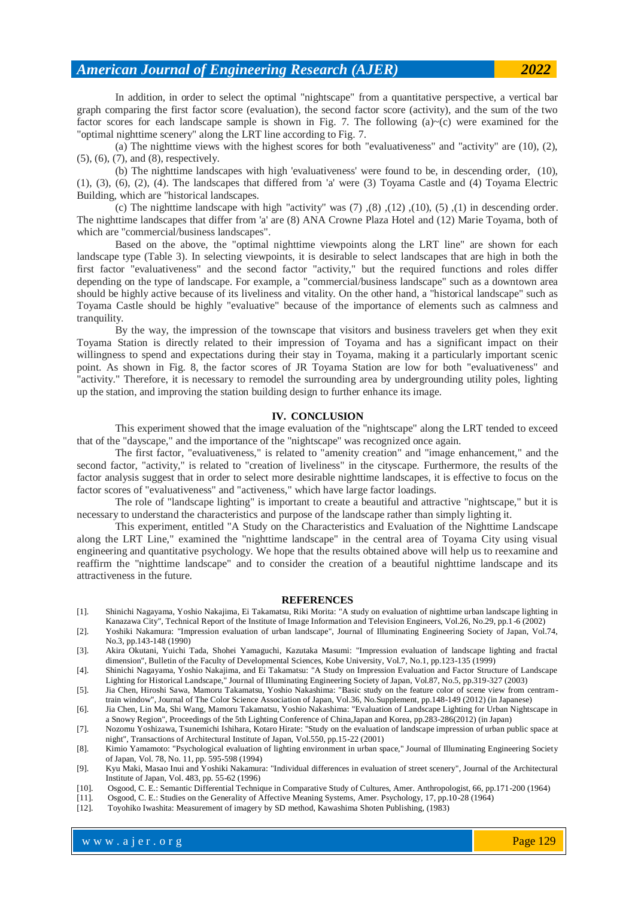In addition, in order to select the optimal "nightscape" from a quantitative perspective, a vertical bar graph comparing the first factor score (evaluation), the second factor score (activity), and the sum of the two factor scores for each landscape sample is shown in Fig. 7. The following  $(a)~(c)$  were examined for the "optimal nighttime scenery" along the LRT line according to Fig. 7.

(a) The nighttime views with the highest scores for both "evaluativeness" and "activity" are (10), (2), (5), (6), (7), and (8), respectively.

(b) The nighttime landscapes with high 'evaluativeness' were found to be, in descending order, (10), (1), (3), (6), (2), (4). The landscapes that differed from 'a' were (3) Toyama Castle and (4) Toyama Electric Building, which are "historical landscapes.

(c) The nighttime landscape with high "activity" was  $(7)$ , $(8)$ , $(12)$ , $(10)$ , $(5)$ , $(1)$  in descending order. The nighttime landscapes that differ from 'a' are (8) ANA Crowne Plaza Hotel and (12) Marie Toyama, both of which are "commercial/business landscapes".

Based on the above, the "optimal nighttime viewpoints along the LRT line" are shown for each landscape type (Table 3). In selecting viewpoints, it is desirable to select landscapes that are high in both the first factor "evaluativeness" and the second factor "activity," but the required functions and roles differ depending on the type of landscape. For example, a "commercial/business landscape" such as a downtown area should be highly active because of its liveliness and vitality. On the other hand, a "historical landscape" such as Toyama Castle should be highly "evaluative" because of the importance of elements such as calmness and tranquility.

By the way, the impression of the townscape that visitors and business travelers get when they exit Toyama Station is directly related to their impression of Toyama and has a significant impact on their willingness to spend and expectations during their stay in Toyama, making it a particularly important scenic point. As shown in Fig. 8, the factor scores of JR Toyama Station are low for both "evaluativeness" and "activity." Therefore, it is necessary to remodel the surrounding area by undergrounding utility poles, lighting up the station, and improving the station building design to further enhance its image.

#### **IV. CONCLUSION**

This experiment showed that the image evaluation of the "nightscape" along the LRT tended to exceed that of the "dayscape," and the importance of the "nightscape" was recognized once again.

The first factor, "evaluativeness," is related to "amenity creation" and "image enhancement," and the second factor, "activity," is related to "creation of liveliness" in the cityscape. Furthermore, the results of the factor analysis suggest that in order to select more desirable nighttime landscapes, it is effective to focus on the factor scores of "evaluativeness" and "activeness," which have large factor loadings.

The role of "landscape lighting" is important to create a beautiful and attractive "nightscape," but it is necessary to understand the characteristics and purpose of the landscape rather than simply lighting it.

This experiment, entitled "A Study on the Characteristics and Evaluation of the Nighttime Landscape along the LRT Line," examined the "nighttime landscape" in the central area of Toyama City using visual engineering and quantitative psychology. We hope that the results obtained above will help us to reexamine and reaffirm the "nighttime landscape" and to consider the creation of a beautiful nighttime landscape and its attractiveness in the future.

#### **REFERENCES**

- [1]. Shinichi Nagayama, Yoshio Nakajima, Ei Takamatsu, Riki Morita: "A study on evaluation of nighttime urban landscape lighting in Kanazawa City", Technical Report of the Institute of Image Information and Television Engineers, Vol.26, No.29, pp.1-6 (2002)
- [2]. Yoshiki Nakamura: "Impression evaluation of urban landscape", Journal of Illuminating Engineering Society of Japan, Vol.74, No.3, pp.143-148 (1990)
- [3]. Akira Okutani, Yuichi Tada, Shohei Yamaguchi, Kazutaka Masumi: "Impression evaluation of landscape lighting and fractal dimension", Bulletin of the Faculty of Developmental Sciences, Kobe University, Vol.7, No.1, pp.123-135 (1999)
- [4]. Shinichi Nagayama, Yoshio Nakajima, and Ei Takamatsu: "A Study on Impression Evaluation and Factor Structure of Landscape Lighting for Historical Landscape," Journal of Illuminating Engineering Society of Japan, Vol.87, No.5, pp.319-327 (2003)
- [5]. Jia Chen, Hiroshi Sawa, Mamoru Takamatsu, Yoshio Nakashima: "Basic study on the feature color of scene view from centramtrain window", Journal of The Color Science Association of Japan, Vol.36, No.Supplement, pp.148-149 (2012) (in Japanese)
- [6]. Jia Chen, Lin Ma, Shi Wang, Mamoru Takamatsu, Yoshio Nakashima: "Evaluation of Landscape Lighting for Urban Nightscape in a Snowy Region", Proceedings of the 5th Lighting Conference of China,Japan and Korea, pp.283-286(2012) (in Japan)
- [7]. Nozomu Yoshizawa, Tsunemichi Ishihara, Kotaro Hirate: "Study on the evaluation of landscape impression of urban public space at night", Transactions of Architectural Institute of Japan, Vol.550, pp.15-22 (2001)

[8]. Kimio Yamamoto: "Psychological evaluation of lighting environment in urban space," Journal of Illuminating Engineering Society of Japan, Vol. 78, No. 11, pp. 595-598 (1994)

- [9]. Kyu Maki, Masao Inui and Yoshiki Nakamura: "Individual differences in evaluation of street scenery", Journal of the Architectural Institute of Japan, Vol. 483, pp. 55-62 (1996)
- [10]. Osgood, C. E.: Semantic Differential Technique in Comparative Study of Cultures, Amer. Anthropologist, 66, pp.171-200 (1964)
- [11]. Osgood, C. E.: Studies on the Generality of Affective Meaning Systems, Amer. Psychology, 17, pp.10-28 (1964)
- [12]. Toyohiko Iwashita: Measurement of imagery by SD method, Kawashima Shoten Publishing, (1983)